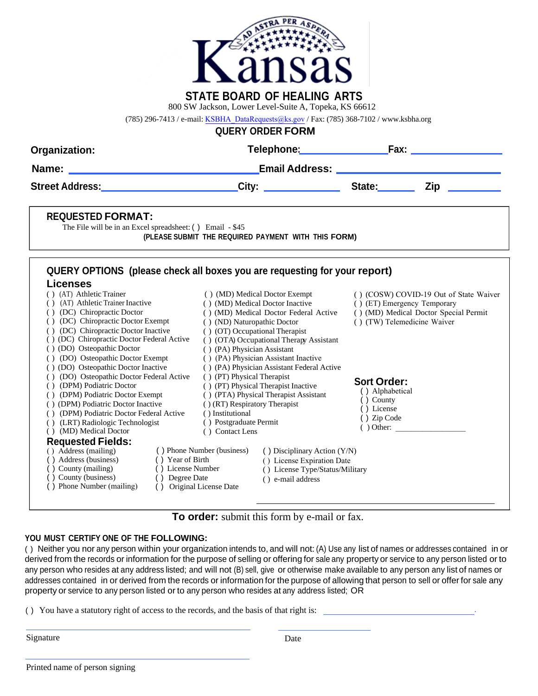

800 SW Jackson, Lower Level-Suite A, Topeka, KS 66612

(785) 296-7413 / e-mail: [KSBHA\\_DataRequests@ks.gov](mailto:KSBHA_DataRequests@ks.gov) / Fax: (785) 368-7102 / www.ksbha.org

**QUERY ORDER FORM**

| Organization:                                                                                                                                                                                                                                                                                                                                                                                                                                                                                                                                                                                                                     |                                                                                                                                                                                                                                                                                                                                                                                                                                                                                                                                                             |                                                                                 |                                                                                                                                                               |  |
|-----------------------------------------------------------------------------------------------------------------------------------------------------------------------------------------------------------------------------------------------------------------------------------------------------------------------------------------------------------------------------------------------------------------------------------------------------------------------------------------------------------------------------------------------------------------------------------------------------------------------------------|-------------------------------------------------------------------------------------------------------------------------------------------------------------------------------------------------------------------------------------------------------------------------------------------------------------------------------------------------------------------------------------------------------------------------------------------------------------------------------------------------------------------------------------------------------------|---------------------------------------------------------------------------------|---------------------------------------------------------------------------------------------------------------------------------------------------------------|--|
|                                                                                                                                                                                                                                                                                                                                                                                                                                                                                                                                                                                                                                   | _Email Address: ________________________________                                                                                                                                                                                                                                                                                                                                                                                                                                                                                                            |                                                                                 |                                                                                                                                                               |  |
|                                                                                                                                                                                                                                                                                                                                                                                                                                                                                                                                                                                                                                   | City: State: Zip                                                                                                                                                                                                                                                                                                                                                                                                                                                                                                                                            |                                                                                 |                                                                                                                                                               |  |
| <b>REQUESTED FORMAT:</b><br>The File will be in an Excel spreadsheet: () Email - \$45                                                                                                                                                                                                                                                                                                                                                                                                                                                                                                                                             | (PLEASE SUBMIT THE REQUIRED PAYMENT WITH THIS FORM)                                                                                                                                                                                                                                                                                                                                                                                                                                                                                                         |                                                                                 |                                                                                                                                                               |  |
| <b>Licenses</b>                                                                                                                                                                                                                                                                                                                                                                                                                                                                                                                                                                                                                   | QUERY OPTIONS (please check all boxes you are requesting for your report)                                                                                                                                                                                                                                                                                                                                                                                                                                                                                   |                                                                                 |                                                                                                                                                               |  |
| () (AT) Athletic Trainer<br>( ) (AT) Athletic Trainer Inactive<br>( ) (DC) Chiropractic Doctor<br>( ) (DC) Chiropractic Doctor Exempt<br>() (DC) Chiropractic Doctor Inactive<br>( ) (DC) Chiropractic Doctor Federal Active<br>() (DO) Osteopathic Doctor<br>() (DO) Osteopathic Doctor Exempt<br>() (DO) Osteopathic Doctor Inactive<br>() (DO) Osteopathic Doctor Federal Active<br>() (DPM) Podiatric Doctor<br>() (DPM) Podiatric Doctor Exempt<br>() (DPM) Podiatric Doctor Inactive<br>() (DPM) Podiatric Doctor Federal Active<br>( ) (LRT) Radiologic Technologist<br>() (MD) Medical Doctor<br><b>Requested Fields:</b> | () (MD) Medical Doctor Exempt<br>() (MD) Medical Doctor Inactive<br>() (MD) Medical Doctor Federal Active<br>() (ND) Naturopathic Doctor<br>( ) (OT) Occupational Therapist<br>() (OTA) Occupational Therapy Assistant<br>() (PA) Physician Assistant<br>() (PA) Physician Assistant Inactive<br>() (PA) Physician Assistant Federal Active<br>() (PT) Physical Therapist<br>() (PT) Physical Therapist Inactive<br>() (PTA) Physical Therapist Assistant<br>() (RT) Respiratory Therapist<br>() Institutional<br>() Postgraduate Permit<br>() Contact Lens | <b>Sort Order:</b><br>() Alphabetical<br>() County<br>() License<br>() Zip Code | () (COSW) COVID-19 Out of State Waiver<br>() (ET) Emergency Temporary<br>() (MD) Medical Doctor Special Permit<br>() (TW) Telemedicine Waiver<br>$( )$ Other: |  |
| () Address (mailing)<br>() Address (business)<br>() Year of Birth<br>() County (mailing)<br>() License Number<br>() County (business)<br>() Degree Date<br>() Phone Number (mailing)                                                                                                                                                                                                                                                                                                                                                                                                                                              | () Phone Number (business)<br>() Disciplinary Action (Y/N)<br>() License Expiration Date<br>() License Type/Status/Military<br>() e-mail address<br>() Original License Date                                                                                                                                                                                                                                                                                                                                                                                |                                                                                 |                                                                                                                                                               |  |

## **To order:** submit this form by e-mail or fax.

#### **YOU MUST CERTIFY ONE OF THE FOLLOWING:**

( ) Neither you nor any person within your organization intends to, and will not: (A) Use any list of names or addresses contained in or derived from the records or information for the purpose of selling or offering for sale any property or service to any person listed or to any person who resides at any address listed; and will not (B) sell, give or otherwise make available to any person any list of names or addresses contained in or derived from the records or information for the purpose of allowing that person to sell or offer for sale any property or service to any person listed or to any person who resides at any address listed; OR

( ) You have a statutory right of access to the records, and the basis of that right is: .

Signature Date